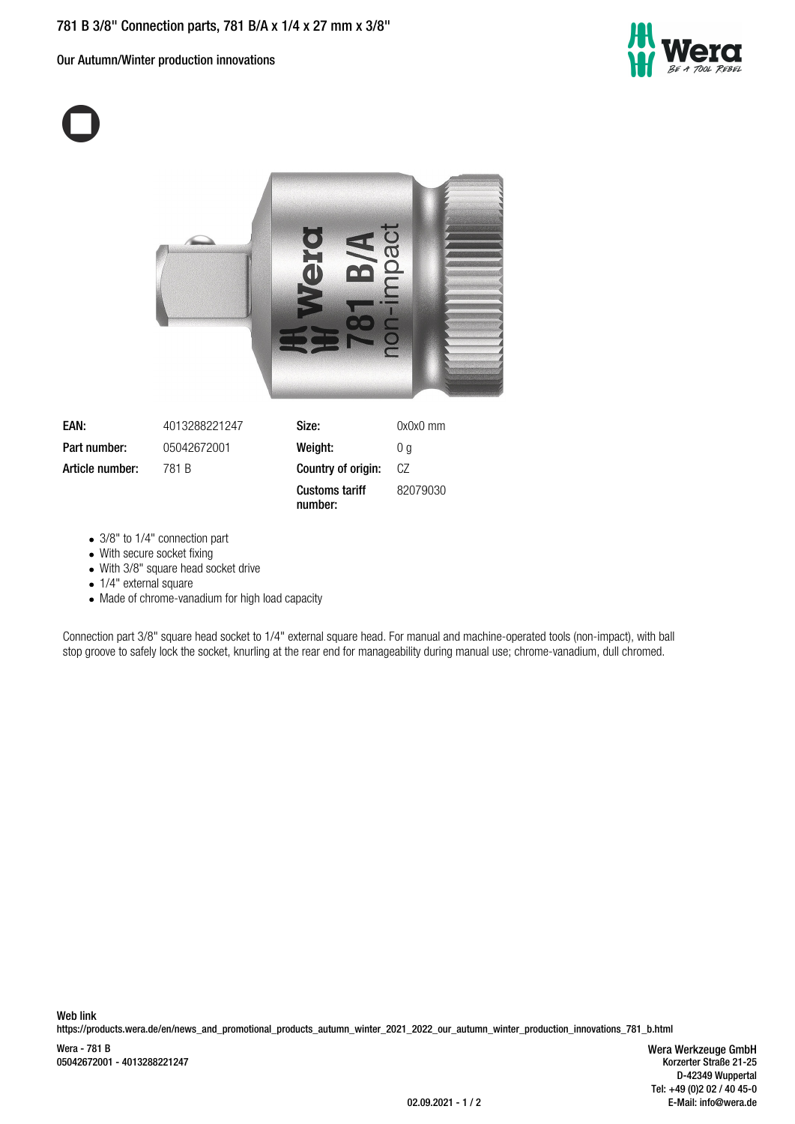Our Autumn/Winter production innovations





| EAN:            | 4013288221247 | Size:                            | 0x0x0 mm |
|-----------------|---------------|----------------------------------|----------|
| Part number:    | 05042672001   | Weight:                          | 0 a      |
| Article number: | 781 B         | Country of origin:               | CZ       |
|                 |               | <b>Customs tariff</b><br>number: | 82079030 |

- 3/8" to 1/4" connection part
- With secure socket fixing
- With 3/8" square head socket drive
- 1/4" external square
- Made of chrome-vanadium for high load capacity

Connection part 3/8" square head socket to 1/4" external square head. For manual and machine-operated tools (non-impact), with ball stop groove to safely lock the socket, knurling at the rear end for manageability during manual use; chrome-vanadium, dull chromed.